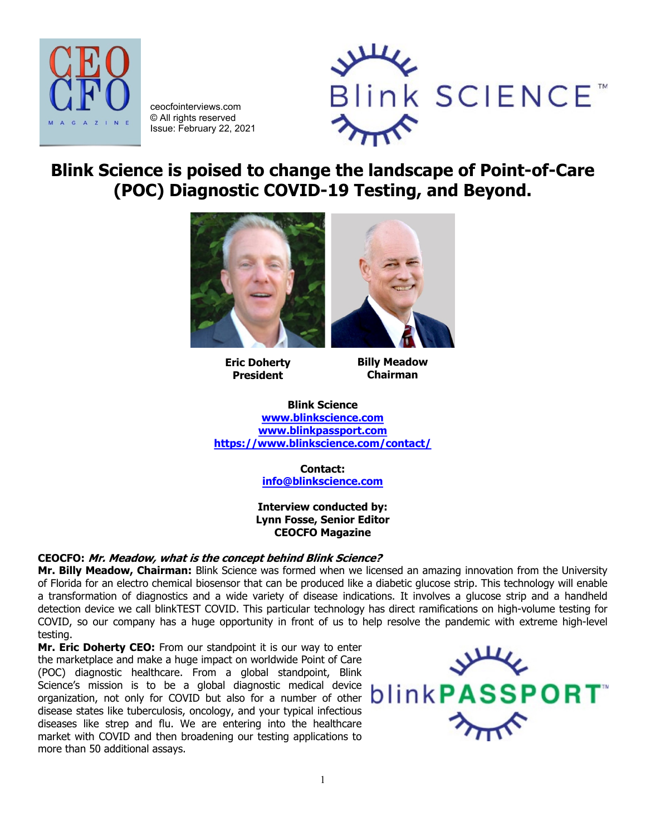

ceocfointerviews.com © All rights reserved Issue: February 22, 2021



**Blink Science is poised to change the landscape of Point-of-Care (POC) Diagnostic COVID-19 Testing, and Beyond.**



**Eric Doherty President**

**Billy Meadow Chairman**

**Blink Science [www.blinkscience.com](http://www.blinkscience.com/) [www.blinkpassport.com](http://www.blinkpassport.com/) <https://www.blinkscience.com/contact/>**

> **Contact: [info@blinkscience.com](mailto:info@blinkscience.com)**

**Interview conducted by: Lynn Fosse, Senior Editor CEOCFO Magazine**

# **CEOCFO: Mr. Meadow, what is the concept behind Blink Science?**

**Mr. Billy Meadow, Chairman:** Blink Science was formed when we licensed an amazing innovation from the University of Florida for an electro chemical biosensor that can be produced like a diabetic glucose strip. This technology will enable a transformation of diagnostics and a wide variety of disease indications. It involves a glucose strip and a handheld detection device we call blinkTEST COVID. This particular technology has direct ramifications on high-volume testing for COVID, so our company has a huge opportunity in front of us to help resolve the pandemic with extreme high-level testing.

**Mr. Eric Doherty CEO:** From our standpoint it is our way to enter the marketplace and make a huge impact on worldwide Point of Care (POC) diagnostic healthcare. From a global standpoint, Blink Science's mission is to be a global diagnostic medical device organization, not only for COVID but also for a number of other disease states like tuberculosis, oncology, and your typical infectious diseases like strep and flu. We are entering into the healthcare market with COVID and then broadening our testing applications to more than 50 additional assays.

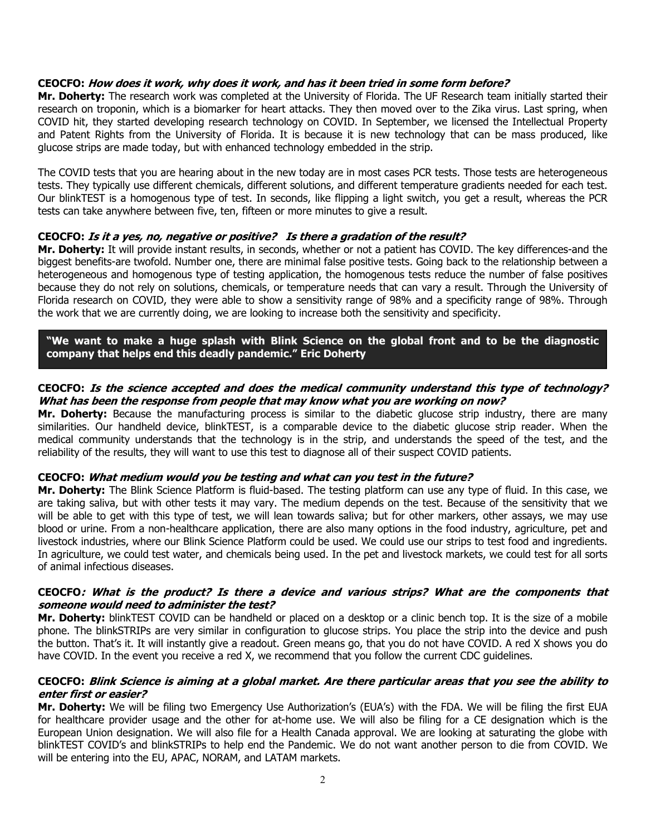## **CEOCFO: How does it work, why does it work, and has it been tried in some form before?**

**Mr. Doherty:** The research work was completed at the University of Florida. The UF Research team initially started their research on troponin, which is a biomarker for heart attacks. They then moved over to the Zika virus. Last spring, when COVID hit, they started developing research technology on COVID. In September, we licensed the Intellectual Property and Patent Rights from the University of Florida. It is because it is new technology that can be mass produced, like glucose strips are made today, but with enhanced technology embedded in the strip.

The COVID tests that you are hearing about in the new today are in most cases PCR tests. Those tests are heterogeneous tests. They typically use different chemicals, different solutions, and different temperature gradients needed for each test. Our blinkTEST is a homogenous type of test. In seconds, like flipping a light switch, you get a result, whereas the PCR tests can take anywhere between five, ten, fifteen or more minutes to give a result.

## **CEOCFO: Is it a yes, no, negative or positive? Is there a gradation of the result?**

**Mr. Doherty:** It will provide instant results, in seconds, whether or not a patient has COVID. The key differences-and the biggest benefits-are twofold. Number one, there are minimal false positive tests. Going back to the relationship between a heterogeneous and homogenous type of testing application, the homogenous tests reduce the number of false positives because they do not rely on solutions, chemicals, or temperature needs that can vary a result. Through the University of Florida research on COVID, they were able to show a sensitivity range of 98% and a specificity range of 98%. Through the work that we are currently doing, we are looking to increase both the sensitivity and specificity.

**"We want to make a huge splash with Blink Science on the global front and to be the diagnostic company that helps end this deadly pandemic." Eric Doherty**

## **CEOCFO: Is the science accepted and does the medical community understand this type of technology? What has been the response from people that may know what you are working on now?**

**Mr. Doherty:** Because the manufacturing process is similar to the diabetic glucose strip industry, there are many similarities. Our handheld device, blinkTEST, is a comparable device to the diabetic glucose strip reader. When the medical community understands that the technology is in the strip, and understands the speed of the test, and the reliability of the results, they will want to use this test to diagnose all of their suspect COVID patients.

## **CEOCFO: What medium would you be testing and what can you test in the future?**

**Mr. Doherty:** The Blink Science Platform is fluid-based. The testing platform can use any type of fluid. In this case, we are taking saliva, but with other tests it may vary. The medium depends on the test. Because of the sensitivity that we will be able to get with this type of test, we will lean towards saliva; but for other markers, other assays, we may use blood or urine. From a non-healthcare application, there are also many options in the food industry, agriculture, pet and livestock industries, where our Blink Science Platform could be used. We could use our strips to test food and ingredients. In agriculture, we could test water, and chemicals being used. In the pet and livestock markets, we could test for all sorts of animal infectious diseases.

### **CEOCFO: What is the product? Is there a device and various strips? What are the components that someone would need to administer the test?**

**Mr. Doherty:** blinkTEST COVID can be handheld or placed on a desktop or a clinic bench top. It is the size of a mobile phone. The blinkSTRIPs are very similar in configuration to glucose strips. You place the strip into the device and push the button. That's it. It will instantly give a readout. Green means go, that you do not have COVID. A red X shows you do have COVID. In the event you receive a red X, we recommend that you follow the current CDC guidelines.

### **CEOCFO: Blink Science is aiming at a global market. Are there particular areas that you see the ability to enter first or easier?**

**Mr. Doherty:** We will be filing two Emergency Use Authorization's (EUA's) with the FDA. We will be filing the first EUA for healthcare provider usage and the other for at-home use. We will also be filing for a CE designation which is the European Union designation. We will also file for a Health Canada approval. We are looking at saturating the globe with blinkTEST COVID's and blinkSTRIPs to help end the Pandemic. We do not want another person to die from COVID. We will be entering into the EU, APAC, NORAM, and LATAM markets.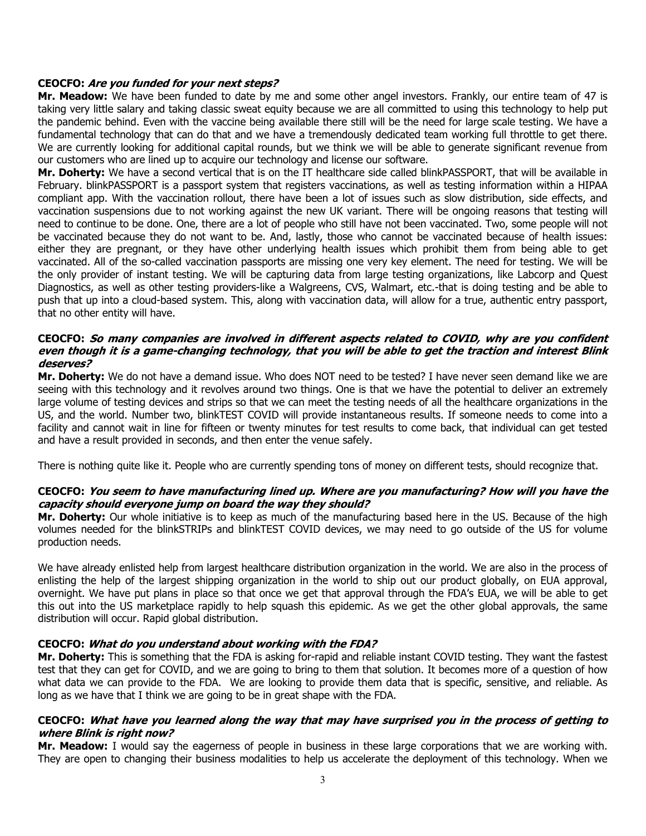### **CEOCFO: Are you funded for your next steps?**

**Mr. Meadow:** We have been funded to date by me and some other angel investors. Frankly, our entire team of 47 is taking very little salary and taking classic sweat equity because we are all committed to using this technology to help put the pandemic behind. Even with the vaccine being available there still will be the need for large scale testing. We have a fundamental technology that can do that and we have a tremendously dedicated team working full throttle to get there. We are currently looking for additional capital rounds, but we think we will be able to generate significant revenue from our customers who are lined up to acquire our technology and license our software.

**Mr. Doherty:** We have a second vertical that is on the IT healthcare side called blinkPASSPORT, that will be available in February. blinkPASSPORT is a passport system that registers vaccinations, as well as testing information within a HIPAA compliant app. With the vaccination rollout, there have been a lot of issues such as slow distribution, side effects, and vaccination suspensions due to not working against the new UK variant. There will be ongoing reasons that testing will need to continue to be done. One, there are a lot of people who still have not been vaccinated. Two, some people will not be vaccinated because they do not want to be. And, lastly, those who cannot be vaccinated because of health issues: either they are pregnant, or they have other underlying health issues which prohibit them from being able to get vaccinated. All of the so-called vaccination passports are missing one very key element. The need for testing. We will be the only provider of instant testing. We will be capturing data from large testing organizations, like Labcorp and Quest Diagnostics, as well as other testing providers-like a Walgreens, CVS, Walmart, etc.-that is doing testing and be able to push that up into a cloud-based system. This, along with vaccination data, will allow for a true, authentic entry passport, that no other entity will have.

### **CEOCFO: So many companies are involved in different aspects related to COVID, why are you confident even though it is a game-changing technology, that you will be able to get the traction and interest Blink deserves?**

**Mr. Doherty:** We do not have a demand issue. Who does NOT need to be tested? I have never seen demand like we are seeing with this technology and it revolves around two things. One is that we have the potential to deliver an extremely large volume of testing devices and strips so that we can meet the testing needs of all the healthcare organizations in the US, and the world. Number two, blinkTEST COVID will provide instantaneous results. If someone needs to come into a facility and cannot wait in line for fifteen or twenty minutes for test results to come back, that individual can get tested and have a result provided in seconds, and then enter the venue safely.

There is nothing quite like it. People who are currently spending tons of money on different tests, should recognize that.

## **CEOCFO: You seem to have manufacturing lined up. Where are you manufacturing? How will you have the capacity should everyone jump on board the way they should?**

**Mr. Doherty:** Our whole initiative is to keep as much of the manufacturing based here in the US. Because of the high volumes needed for the blinkSTRIPs and blinkTEST COVID devices, we may need to go outside of the US for volume production needs.

We have already enlisted help from largest healthcare distribution organization in the world. We are also in the process of enlisting the help of the largest shipping organization in the world to ship out our product globally, on EUA approval, overnight. We have put plans in place so that once we get that approval through the FDA's EUA, we will be able to get this out into the US marketplace rapidly to help squash this epidemic. As we get the other global approvals, the same distribution will occur. Rapid global distribution.

## **CEOCFO: What do you understand about working with the FDA?**

**Mr. Doherty:** This is something that the FDA is asking for-rapid and reliable instant COVID testing. They want the fastest test that they can get for COVID, and we are going to bring to them that solution. It becomes more of a question of how what data we can provide to the FDA. We are looking to provide them data that is specific, sensitive, and reliable. As long as we have that I think we are going to be in great shape with the FDA.

### **CEOCFO: What have you learned along the way that may have surprised you in the process of getting to where Blink is right now?**

**Mr. Meadow:** I would say the eagerness of people in business in these large corporations that we are working with. They are open to changing their business modalities to help us accelerate the deployment of this technology. When we